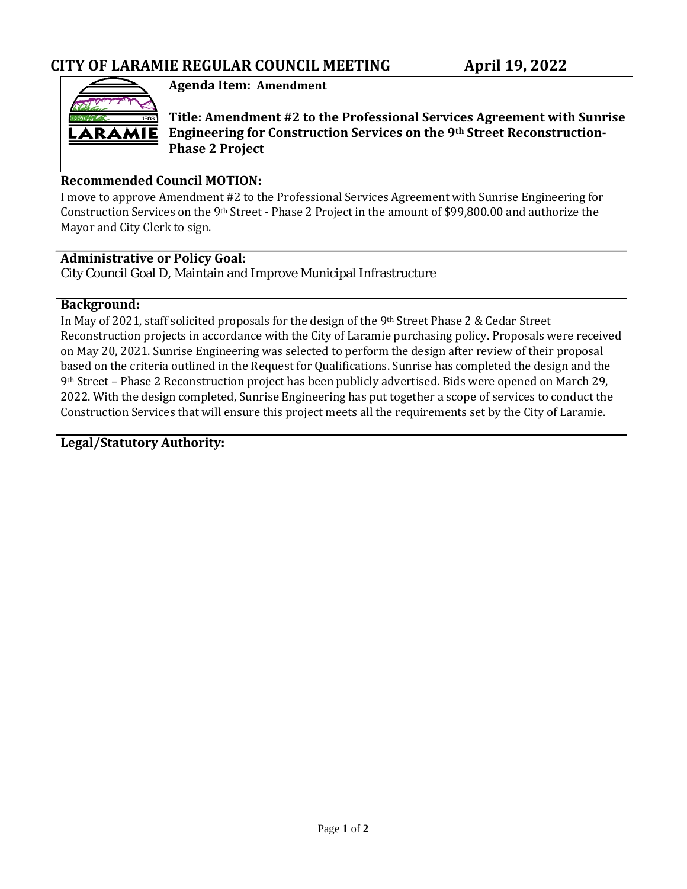

## **Agenda Item: Amendment**

**Title: Amendment #2 to the Professional Services Agreement with Sunrise Engineering for Construction Services on the 9th Street Reconstruction-Phase 2 Project**

## **Recommended Council MOTION:**

I move to approve Amendment #2 to the Professional Services Agreement with Sunrise Engineering for Construction Services on the 9th Street - Phase 2 Project in the amount of \$99,800.00 and authorize the Mayor and City Clerk to sign.

## **Administrative or Policy Goal:** City Council Goal D, Maintain and Improve Municipal Infrastructure

#### **Background:**

In May of 2021, staff solicited proposals for the design of the 9th Street Phase 2 & Cedar Street Reconstruction projects in accordance with the City of Laramie purchasing policy. Proposals were received on May 20, 2021. Sunrise Engineering was selected to perform the design after review of their proposal based on the criteria outlined in the Request for Qualifications. Sunrise has completed the design and the 9th Street – Phase 2 Reconstruction project has been publicly advertised. Bids were opened on March 29, 2022. With the design completed, Sunrise Engineering has put together a scope of services to conduct the Construction Services that will ensure this project meets all the requirements set by the City of Laramie.

**Legal/Statutory Authority:**